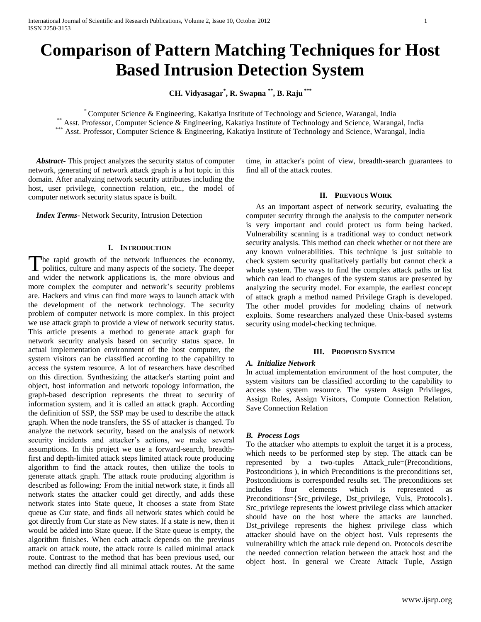# **Comparison of Pattern Matching Techniques for Host Based Intrusion Detection System**

**CH. Vidyasagar\* , R. Swapna \*\* , B. Raju \*\*\***

\* Computer Science & Engineering, Kakatiya Institute of Technology and Science, Warangal, India \*\* Asst. Professor, Computer Science & Engineering, Kakatiya Institute of Technology and Science, Warangal, India

\*\*\* Asst. Professor, Computer Science & Engineering, Kakatiya Institute of Technology and Science, Warangal, India

 *Abstract***-** This project analyzes the security status of computer network, generating of network attack graph is a hot topic in this domain. After analyzing network security attributes including the host, user privilege, connection relation, etc., the model of computer network security status space is built.

 *Index Terms*- Network Security, Intrusion Detection

## **I. INTRODUCTION**

he rapid growth of the network influences the economy, The rapid growth of the network influences the economy, politics, culture and many aspects of the society. The deeper and wider the network applications is, the more obvious and more complex the computer and network's security problems are. Hackers and virus can find more ways to launch attack with the development of the network technology. The security problem of computer network is more complex. In this project we use attack graph to provide a view of network security status. This article presents a method to generate attack graph for network security analysis based on security status space. In actual implementation environment of the host computer, the system visitors can be classified according to the capability to access the system resource. A lot of researchers have described on this direction. Synthesizing the attacker's starting point and object, host information and network topology information, the graph-based description represents the threat to security of information system, and it is called an attack graph. According the definition of SSP, the SSP may be used to describe the attack graph. When the node transfers, the SS of attacker is changed. To analyze the network security, based on the analysis of network security incidents and attacker's actions, we make several assumptions. In this project we use a forward-search, breadthfirst and depth-limited attack steps limited attack route producing algorithm to find the attack routes, then utilize the tools to generate attack graph. The attack route producing algorithm is described as following: From the initial network state, it finds all network states the attacker could get directly, and adds these network states into State queue, It chooses a state from State queue as Cur state, and finds all network states which could be got directly from Cur state as New states. If a state is new, then it would be added into State queue. If the State queue is empty, the algorithm finishes. When each attack depends on the previous attack on attack route, the attack route is called minimal attack route. Contrast to the method that has been previous used, our method can directly find all minimal attack routes. At the same

time, in attacker's point of view, breadth-search guarantees to find all of the attack routes.

# **II. PREVIOUS WORK**

 As an important aspect of network security, evaluating the computer security through the analysis to the computer network is very important and could protect us form being hacked. Vulnerability scanning is a traditional way to conduct network security analysis. This method can check whether or not there are any known vulnerabilities. This technique is just suitable to check system security qualitatively partially but cannot check a whole system. The ways to find the complex attack paths or list which can lead to changes of the system status are presented by analyzing the security model. For example, the earliest concept of attack graph a method named Privilege Graph is developed. The other model provides for modeling chains of network exploits. Some researchers analyzed these Unix-based systems security using model-checking technique.

## **III. PROPOSED SYSTEM**

## *A. Initialize Network*

In actual implementation environment of the host computer, the system visitors can be classified according to the capability to access the system resource. The system Assign Privileges, Assign Roles, Assign Visitors, Compute Connection Relation, Save Connection Relation

# *B. Process Logs*

To the attacker who attempts to exploit the target it is a process, which needs to be performed step by step. The attack can be represented by a two-tuples Attack\_rule=(Preconditions, Postconditions ), in which Preconditions is the preconditions set, Postconditions is corresponded results set. The preconditions set includes four elements which is represented as Preconditions={Src\_privilege, Dst\_privilege, Vuls, Protocols}. Src\_privilege represents the lowest privilege class which attacker should have on the host where the attacks are launched. Dst\_privilege represents the highest privilege class which attacker should have on the object host. Vuls represents the vulnerability which the attack rule depend on. Protocols describe the needed connection relation between the attack host and the object host. In general we Create Attack Tuple, Assign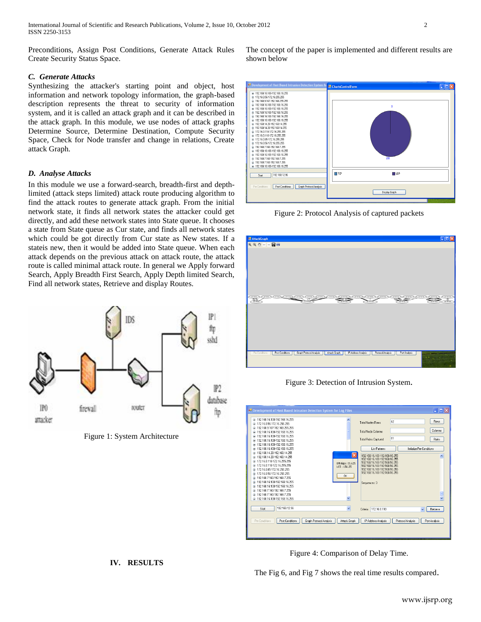International Journal of Scientific and Research Publications, Volume 2, Issue 10, October 2012 2 ISSN 2250-3153

Preconditions, Assign Post Conditions, Generate Attack Rules Create Security Status Space.

# *C. Generate Attacks*

Synthesizing the attacker's starting point and object, host information and network topology information, the graph-based description represents the threat to security of information system, and it is called an attack graph and it can be described in the attack graph. In this module, we use nodes of attack graphs Determine Source, Determine Destination, Compute Security Space, Check for Node transfer and change in relations, Create attack Graph.

#### *D. Analyse Attacks*

In this module we use a forward-search, breadth-first and depthlimited (attack steps limited) attack route producing algorithm to find the attack routes to generate attack graph. From the initial network state, it finds all network states the attacker could get directly, and add these network states into State queue. It chooses a state from State queue as Cur state, and finds all network states which could be got directly from Cur state as New states. If a stateis new, then it would be added into State queue. When each attack depends on the previous attack on attack route, the attack route is called minimal attack route. In general we Apply forward Search, Apply Breadth First Search, Apply Depth limited Search, Find all network states, Retrieve and display Routes.



Figure 1: System Architecture

The concept of the paper is implemented and different results are shown below



Figure 2: Protocol Analysis of captured packets



Figure 3: Detection of Intrusion System.



**IV. RESULTS**

Figure 4: Comparison of Delay Time.

The Fig 6, and Fig 7 shows the real time results compared.